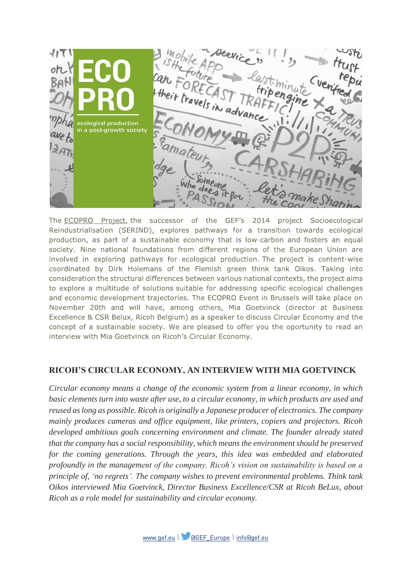イバて cological production in a post-growth society

The ECOPRO Project, the successor of the GEF's 2014 project Socioecological Reindustrialisation (SERIND), explores pathways for a transition towards ecological production, as part of a sustainable economy that is low-carbon and fosters an equal society. Nine national foundations from different regions of the European Union are involved in exploring pathways for ecological production. The project is content-wise coordinated by Dirk Holemans of the Flemish green think tank Oikos. Taking into consideration the structural differences between various national contexts, the project aims to explore a multitude of solutions suitable for addressing specific ecological challenges and economic development trajectories. The ECOPRO Event in Brussels will take place on November 20th and will have, among others, Mia Goetvinck (director at Business Excellence & CSR Belux, Ricoh Belgium) as a speaker to discuss Circular Economy and the concept of a sustainable society. We are pleased to offer you the oportunity to read an interview with Mia Goetvinck on Ricoh's Circular Economy.

### **RICOH'S CIRCULAR ECONOMY, AN INTERVIEW WITH MIA GOETVINCK**

*Circular economy means a change of the economic system from a linear economy, in which basic elements turn into waste after use, to a circular economy, in which products are used and reused as long as possible. Ricoh is originally a Japanese producer of electronics. The company mainly produces cameras and office equipment, like printers, copiers and projectors. Ricoh developed ambitious goals concerning environment and climate. The founder already stated that the company has a social responsibility, which means the environment should be preserved for the coming generations. Through the years, this idea was embedded and elaborated profoundly in the management of the company. Ricoh's vision on sustainability is based on a principle of, 'no regrets'. The company wishes to prevent environmental problems. Think tank Oikos interviewed Mia Goetvinck, Director Business Excellence/CSR at Ricoh BeLux, about Ricoh as a role model for sustainability and circular economy.*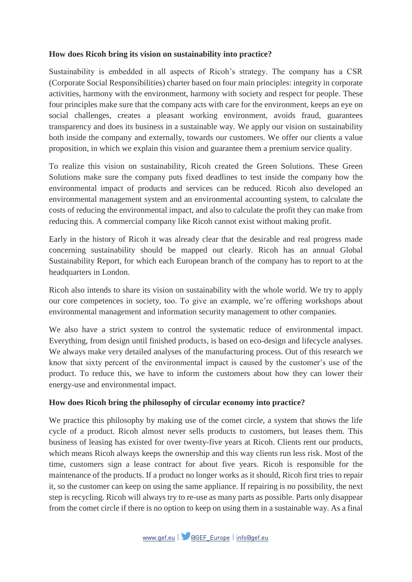### **How does Ricoh bring its vision on sustainability into practice?**

Sustainability is embedded in all aspects of Ricoh's strategy. The company has a CSR (Corporate Social Responsibilities) charter based on four main principles: integrity in corporate activities, harmony with the environment, harmony with society and respect for people. These four principles make sure that the company acts with care for the environment, keeps an eye on social challenges, creates a pleasant working environment, avoids fraud, guarantees transparency and does its business in a sustainable way. We apply our vision on sustainability both inside the company and externally, towards our customers. We offer our clients a value proposition, in which we explain this vision and guarantee them a premium service quality.

To realize this vision on sustainability, Ricoh created the Green Solutions. These Green Solutions make sure the company puts fixed deadlines to test inside the company how the environmental impact of products and services can be reduced. Ricoh also developed an environmental management system and an environmental accounting system, to calculate the costs of reducing the environmental impact, and also to calculate the profit they can make from reducing this. A commercial company like Ricoh cannot exist without making profit.

Early in the history of Ricoh it was already clear that the desirable and real progress made concerning sustainability should be mapped out clearly. Ricoh has an annual Global Sustainability Report, for which each European branch of the company has to report to at the headquarters in London.

Ricoh also intends to share its vision on sustainability with the whole world. We try to apply our core competences in society, too. To give an example, we're offering workshops about environmental management and information security management to other companies.

We also have a strict system to control the systematic reduce of environmental impact. Everything, from design until finished products, is based on eco-design and lifecycle analyses. We always make very detailed analyses of the manufacturing process. Out of this research we know that sixty percent of the environmental impact is caused by the customer's use of the product. To reduce this, we have to inform the customers about how they can lower their energy-use and environmental impact.

### **How does Ricoh bring the philosophy of circular economy into practice?**

We practice this philosophy by making use of the comet circle, a system that shows the life cycle of a product. Ricoh almost never sells products to customers, but leases them. This business of leasing has existed for over twenty-five years at Ricoh. Clients rent our products, which means Ricoh always keeps the ownership and this way clients run less risk. Most of the time, customers sign a lease contract for about five years. Ricoh is responsible for the maintenance of the products. If a product no longer works as it should, Ricoh first tries to repair it, so the customer can keep on using the same appliance. If repairing is no possibility, the next step is recycling. Ricoh will always try to re-use as many parts as possible. Parts only disappear from the comet circle if there is no option to keep on using them in a sustainable way. As a final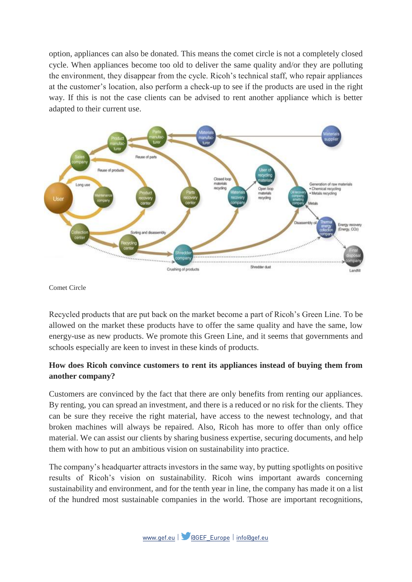option, appliances can also be donated. This means the comet circle is not a completely closed cycle. When appliances become too old to deliver the same quality and/or they are polluting the environment, they disappear from the cycle. Ricoh's technical staff, who repair appliances at the customer's location, also perform a check-up to see if the products are used in the right way. If this is not the case clients can be advised to rent another appliance which is better adapted to their current use.



Comet Circle

Recycled products that are put back on the market become a part of Ricoh's Green Line. To be allowed on the market these products have to offer the same quality and have the same, low energy-use as new products. We promote this Green Line, and it seems that governments and schools especially are keen to invest in these kinds of products.

### **How does Ricoh convince customers to rent its appliances instead of buying them from another company?**

Customers are convinced by the fact that there are only benefits from renting our appliances. By renting, you can spread an investment, and there is a reduced or no risk for the clients. They can be sure they receive the right material, have access to the newest technology, and that broken machines will always be repaired. Also, Ricoh has more to offer than only office material. We can assist our clients by sharing business expertise, securing documents, and help them with how to put an ambitious vision on sustainability into practice.

The company's headquarter attracts investors in the same way, by putting spotlights on positive results of Ricoh's vision on sustainability. Ricoh wins important awards concerning sustainability and environment, and for the tenth year in line, the company has made it on a list of the hundred most sustainable companies in the world. Those are important recognitions,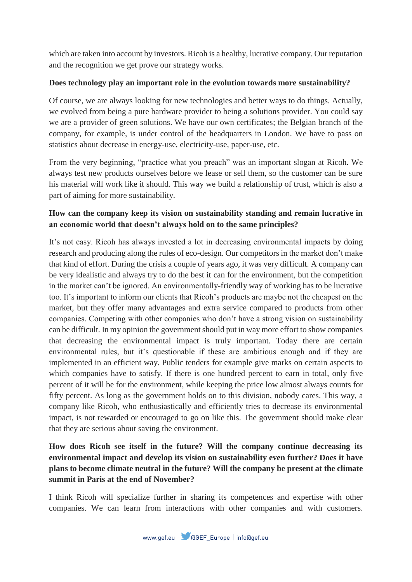which are taken into account by investors. Ricoh is a healthy, lucrative company. Our reputation and the recognition we get prove our strategy works.

### **Does technology play an important role in the evolution towards more sustainability?**

Of course, we are always looking for new technologies and better ways to do things. Actually, we evolved from being a pure hardware provider to being a solutions provider. You could say we are a provider of green solutions. We have our own certificates; the Belgian branch of the company, for example, is under control of the headquarters in London. We have to pass on statistics about decrease in energy-use, electricity-use, paper-use, etc.

From the very beginning, "practice what you preach" was an important slogan at Ricoh. We always test new products ourselves before we lease or sell them, so the customer can be sure his material will work like it should. This way we build a relationship of trust, which is also a part of aiming for more sustainability.

## **How can the company keep its vision on sustainability standing and remain lucrative in an economic world that doesn't always hold on to the same principles?**

It's not easy. Ricoh has always invested a lot in decreasing environmental impacts by doing research and producing along the rules of eco-design. Our competitors in the market don't make that kind of effort. During the crisis a couple of years ago, it was very difficult. A company can be very idealistic and always try to do the best it can for the environment, but the competition in the market can't be ignored. An environmentally-friendly way of working has to be lucrative too. It's important to inform our clients that Ricoh's products are maybe not the cheapest on the market, but they offer many advantages and extra service compared to products from other companies. Competing with other companies who don't have a strong vision on sustainability can be difficult. In my opinion the government should put in way more effort to show companies that decreasing the environmental impact is truly important. Today there are certain environmental rules, but it's questionable if these are ambitious enough and if they are implemented in an efficient way. Public tenders for example give marks on certain aspects to which companies have to satisfy. If there is one hundred percent to earn in total, only five percent of it will be for the environment, while keeping the price low almost always counts for fifty percent. As long as the government holds on to this division, nobody cares. This way, a company like Ricoh, who enthusiastically and efficiently tries to decrease its environmental impact, is not rewarded or encouraged to go on like this. The government should make clear that they are serious about saving the environment.

# **How does Ricoh see itself in the future? Will the company continue decreasing its environmental impact and develop its vision on sustainability even further? Does it have plans to become climate neutral in the future? Will the company be present at the climate summit in Paris at the end of November?**

I think Ricoh will specialize further in sharing its competences and expertise with other companies. We can learn from interactions with other companies and with customers.